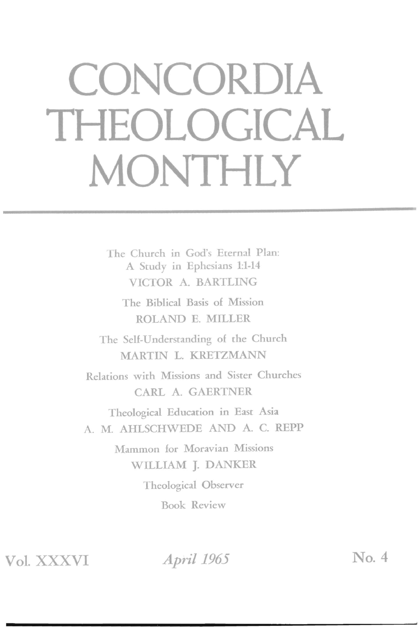## **CONCORDIA THEOLOGICAL MONTHLY**

The Church in God's Eternal Plan: A Study in Ephesians 1:1-14 VICTOR A. BARTLING

The Biblical Basis of Mission ROLAND E. MILLER

The Self-Understanding of the Church MARTIN L. KRETZMANN

Relations with Missions and Sister Churches CARL A. GAERTNER

Theological Education in East Asia A. M. AHLSCHWEDE AND A. C. REPP

> Mammon for Moravian Missions WILLIAM J. DANKER Theological Observer Book Review

**Vol.** XXXVI

April 1965 No. 4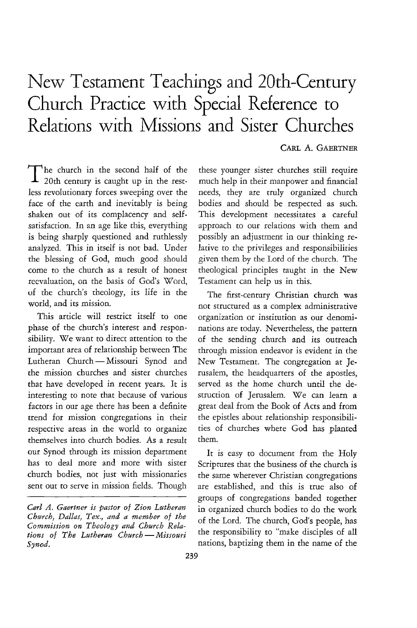## New Testament Teachings and 20th-Century Church Practice with Special Reference to Relations with Missions and Sister Churches

## CARL A. GAERTNER

The church in the second half of the 20th century is caught up in the restless revolutionary forces sweeping over the face of the earth and inevitably is being shaken out of its complacency and selfsatisfaction. In an age like this, everything is being sharply questioned and ruthlessly analyzed. This in itself is not bad. Under the blessing of God, much good should come to the church as a result of honest reevaluation, on the basis of God's Word, of the church's theology, its life in the world, and its mission.

This article will restrict itself to one phase of the church's interest and responsibility. We want to direct attention to the important area of relationship between The Lutheran Church-Missouri Synod and the mission churches and sister churches that have developed in recent years. It is interesting to note that because of various factors in our age there has been a definite trend for mission congregations in their respective areas in the world to organize themselves into church bodies. As a result our Synod through its mission department has to deal more and more with sister church bodies, not just with missionaries sent out to serve in mission fields. Though these younger sister churches still require much help in their manpower and financial needs, they are truly organized church bodies and should be respected as such. This development necessitates a careful approach to our relations with them and possibly an adjustment in our thinking relative to the privileges and responsibilities given them by the lord of the church. The theological principles taught in the New Testamenr can help us in this.

The first-century Christian church was not structured as a complex administrative organization or institution as our denominations are today. Nevertheless, the pattern of the sending church and its outreach through mission endeavor is evident in the New Testament. The congregation at Jerusalem, the headquarters of the apostles, served as the home church until the destruction of Jerusalem. We can learn a great deal from the Book of Acts and from the epistles about relationship responsibilities of churches where God has planted them.

It is easy to document from the Holy Scriptures that the business of the church is the same wherever Christian congregations are established, and this is true also of groups of congregations banded together in organized church bodies to do the work of the Lord. The church, God's people, has the responsibility to "make disciples of all nations, baptizing them in the name of the

*Carl A. Gaertner is pastor of Zion Lutheran Church, Dallas, Tex., and a member of the Commission on Theology and Church Relations of The Lutheran Church-Missouri Synod.*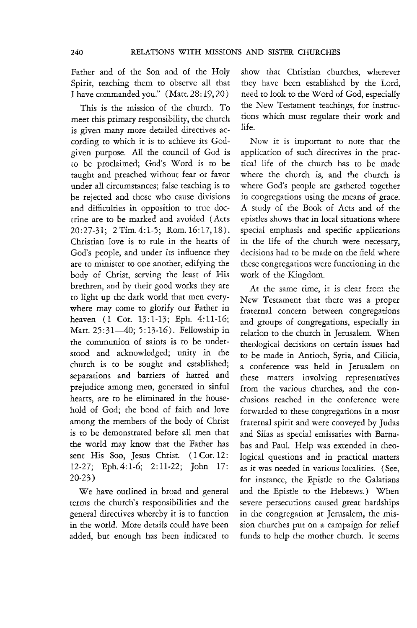Father and of the Son and of the Holy Spirit, teaching them to observe all that I have commanded you." (Matt. 28: 19, 20)

This is the mission of the church. To meet this primary responsibility, the church is given many more detailed directives according to which it is to achieve its Godgiven purpose. All the council of God is to be proclaimed; God's Word *is* to be taught and preached without fear or favor under all circumstances; false teaching is to be rejected and those who cause divisions and difficulties in opposition to true doctrine are to be marked and avoided (Acts *20:27-31; 2Tim.4:1-5;* Rom. 16:17,18). Christian love *is* to rule in the hearts of God's people, and under *its* influence they are to minister to one another, edifying the body of Christ, serving the least of His brethren, and by their good works they are to light up the dark world that men everywhere may come to glorify our Father in heaven (1 Cor. 13:1-13; Eph. 4:11-16; Matt. 25:31-40; 5:13-16). Fellowship in the communion of saints is to be understood and acknowledged; unity in the church is to be sought and established; separations and barriers of hatred and prejudice among men, generated in sinful hearts, are to be eliminated in the household of God; the bond of faith and love among the members of the body of Christ is to be demonstrated before all men that the world may know that the Father has sent His Son, Jesus Christ. (1 Cor. 12: 12-27; Eph.4:1-6; 2:11-22; John 17: 20-23 )

We have outlined in broad and general terms the church's responsibilities and the general directives whereby it is to function **in** the world. More details could have been added, but enough has been indicated to show that Christian churches, wherever they have been established by the Lord, need to look to the Word of God, especially the New Testament teachings, for instructions which must regulate their work and life.

Now it is important to note that the application of such directives in the practical life of the church has to be made where the church *is,* and the church is where God's people are gathered together in congregations using the means of grace. A study of the Book of Acts and of the epistles shows that in local situations where special emphasis and specific applications in the life of the church were necessary, decisions had to be made on the field where these congregations were functioning in the work of the Kingdom.

At the same time, it is clear from the New Testament that there was a proper fraternal concern between congregations and groups of congregations, especially in relation to the church in Jerusalem. When theological decisions on certain issues had to be made in Antioch, Syria, and Cilicia, a conference was held in Jerusalem on these matters involving representatives from the various churches, and the conclusions reached in the conference were forwarded to these congregations in a most fraternal spirit and were conveyed by Judas and Silas as special emissaries with Barnabas and Paul. Help was extended in theological questions and in practical matters as *it* was needed in various localities. (See, for instance, the Epistle to the Galatians and the Epistle to the Hebrews.) When severe persecutions caused great hardships in the congregation at Jerusalem, the mission churches put on a campaign for relief funds to help the mother church. **It** seems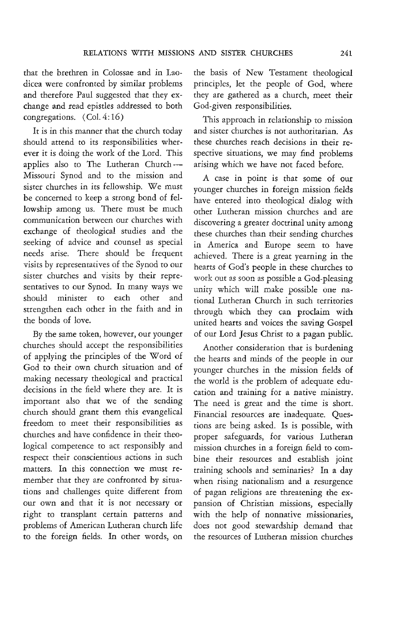that the brethten in Colossae and in Laodicea were confronted by similar problems and therefore Paul suggested that they exchange and read epistles addressed to both congregations. (Col. 4: 16)

It is in this manner that the church today should attend to its responsibilities wherever it is doing the work of the Lord. This applies also to The Lutheran Church-Missouri Synod and to the mission and sister churches in its fellowship. We must be concerned to keep a strong bond of fellowship among us. There must be much communication between our churches with exchange of theological studies and the seeking of advice and counsel as special needs arise. There should be frequent visits by representatives of the Synod to our sister churches and visits by their representatives to our Synod. In many ways we should minister to each other and strengthen each other in the faith and in the bonds of love.

By the same token, however, our younger churches should accept the responsibilities of applying the principles of the Word of God to their own church situation and of making necessary theological and practical decisions in the field where they are. It is important also that we of the sending church should grant them this evangelical freedom to meet their responsibilities as churches and have confidence in their theological competence to act responsibly and respect their conscientious actions in such matters. In this connection we must remember that they are confronted by situations and challenges quite different from our own and that it is not necessary or right to transplant certain patterns and problems of American Lutheran church life to the foreign fields. In other words, on

the basis of New Testament theological principles, let the people of God, where they are gathered as a church, meet their God-given responsibilities.

This approach in relationship to mission and sister churches is not authoritarian. As these churches reach decisions in their respective situations, we may find problems arising which we have not faced before.

A case in point is that some of our younger churches in foreign mission fields have entered into theological dialog with other Lutheran mission churches and are discovering a greater doctrinal unity among these churches than their sending churches in America and Europe seem to have achieved. There is a great yearning in the hearts of God's people in these churches to work out as soon as possible a God-pleasing unity which will make possible one national Lutheran Church in such territories through which they can proclaim with united hearts and voices the saving Gospel of our Lord Jesus Christ to a pagan public.

Another consideration that is burdening the hearts and minds of the people in our younger churches in the mission fields of the world is the problem of adequate education and training for a native ministry. The need is great and the time is short. Financial resources are inadequate. Questions are being asked. Is is possible, with proper safeguards, for various Lutheran mission churches in a foreign field to combine their resources and establish joint training schools and seminaries? In a day when rising nationalism and a resurgence of pagan religions are threatening the expansion of Christian missions, especially with the help of nonnative missionaries, does not good stewardship demand that the resources of Lutheran mission churches